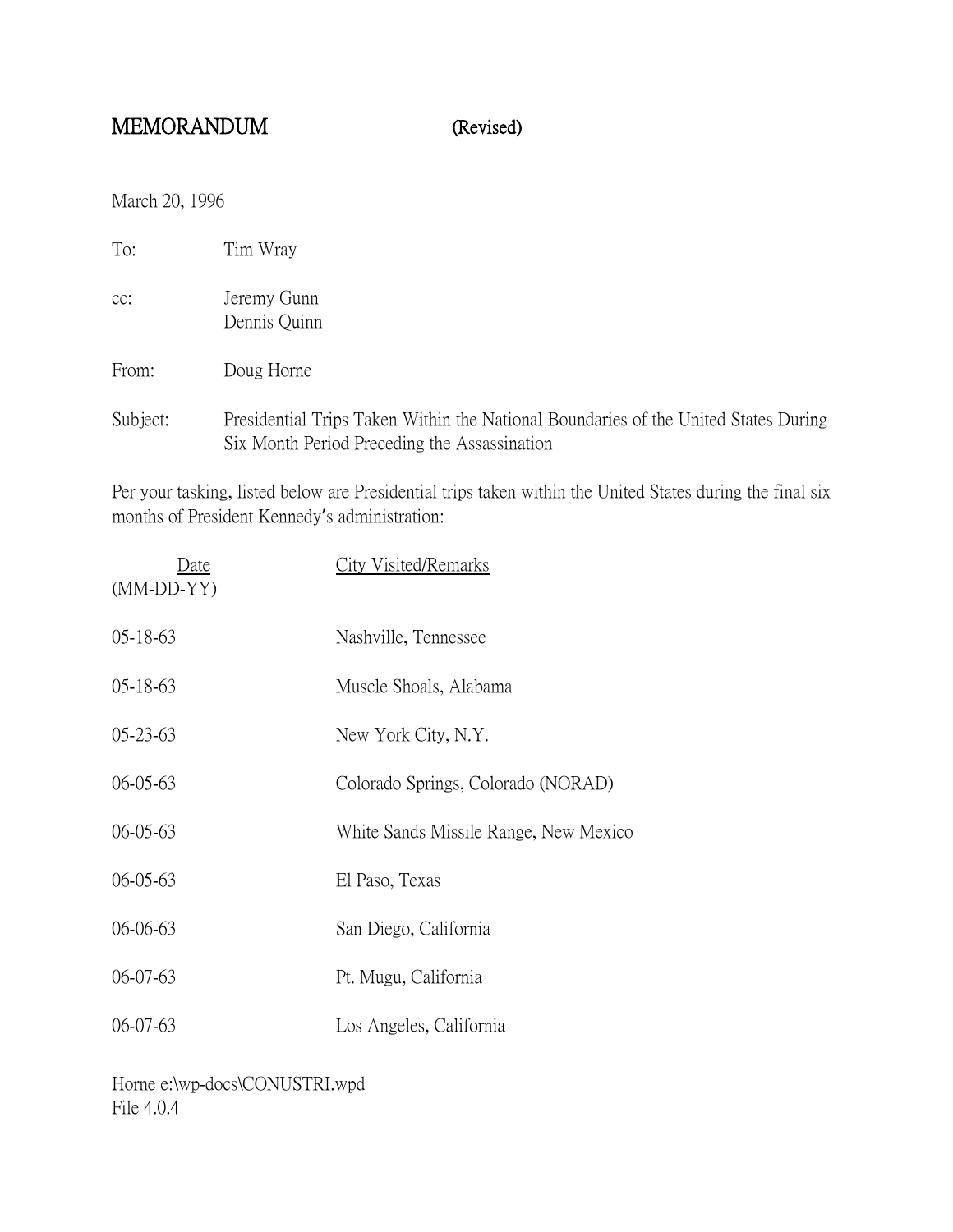## MEMORANDUM (Revised)

March 20, 1996

| To:      | Tim Wray                                                       |
|----------|----------------------------------------------------------------|
| cc:      | Jeremy Gunn<br>Dennis Quinn                                    |
| From:    | Doug Horne                                                     |
| Subject: | Presidential Trips Taken Within the National Boundaries of the |

Diect: Presidential Trips Taken Within the National Boundaries of the United States During Six Month Period Preceding the Assassination

Per your tasking, listed below are Presidential trips taken within the United States during the final six months of President Kennedy's administration:

| Date<br>$(MM\text{-}DD\text{-}YY)$ | <b>City Visited/Remarks</b>           |
|------------------------------------|---------------------------------------|
| $05 - 18 - 63$                     | Nashville, Tennessee                  |
| $05 - 18 - 63$                     | Muscle Shoals, Alabama                |
| $05 - 23 - 63$                     | New York City, N.Y.                   |
| $06 - 05 - 63$                     | Colorado Springs, Colorado (NORAD)    |
| $06 - 05 - 63$                     | White Sands Missile Range, New Mexico |
| $06 - 05 - 63$                     | El Paso, Texas                        |
| $06 - 06 - 63$                     | San Diego, California                 |
| $06 - 07 - 63$                     | Pt. Mugu, California                  |
| $06-07-63$                         | Los Angeles, California               |

Horne e:\wp-docs\CONUSTRI.wpd File 4.0.4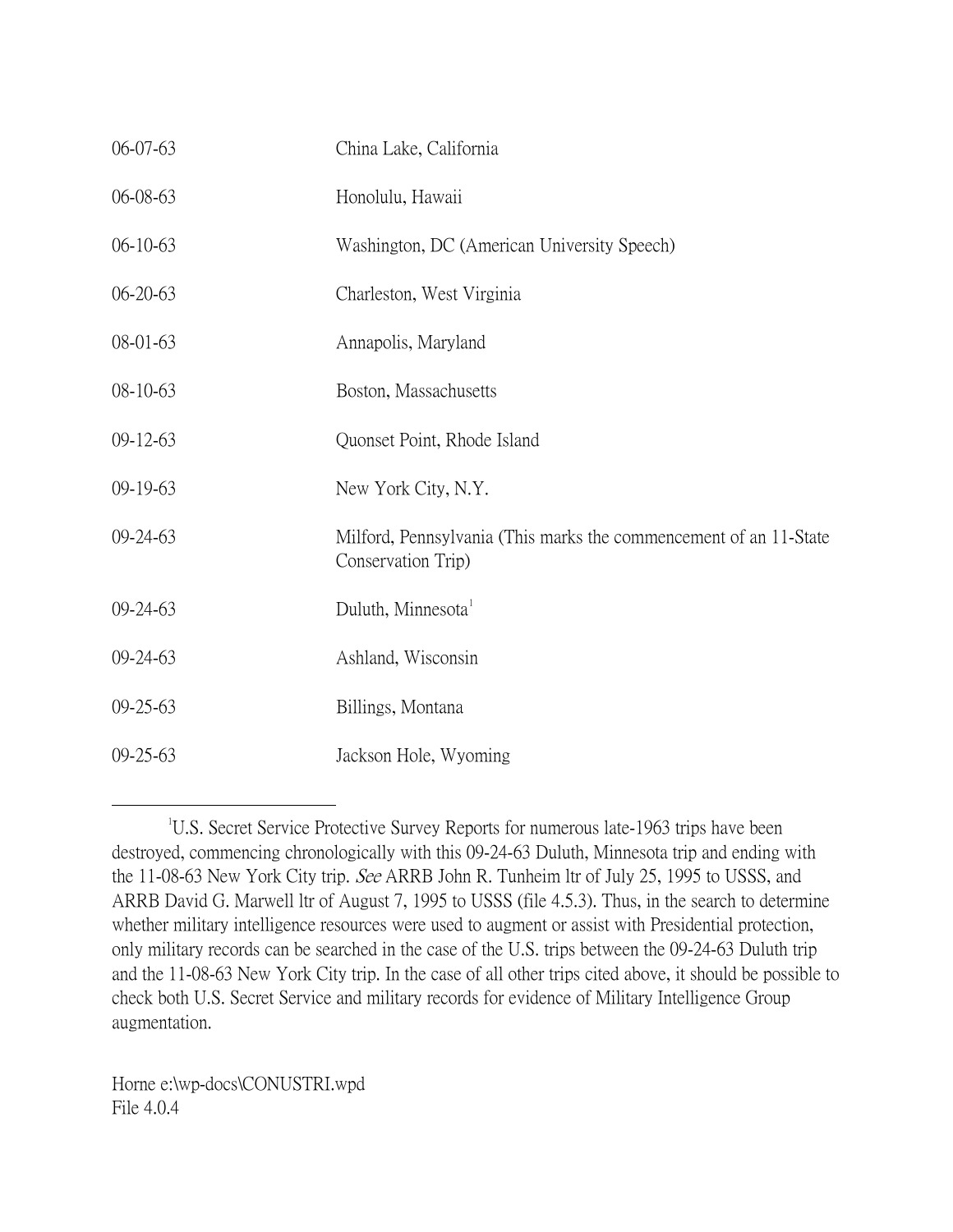| 06-07-63       | China Lake, California                                                                  |
|----------------|-----------------------------------------------------------------------------------------|
| 06-08-63       | Honolulu, Hawaii                                                                        |
| $06-10-63$     | Washington, DC (American University Speech)                                             |
| $06 - 20 - 63$ | Charleston, West Virginia                                                               |
| 08-01-63       | Annapolis, Maryland                                                                     |
| 08-10-63       | Boston, Massachusetts                                                                   |
| $09-12-63$     | Quonset Point, Rhode Island                                                             |
| 09-19-63       | New York City, N.Y.                                                                     |
| 09-24-63       | Milford, Pennsylvania (This marks the commencement of an 11-State<br>Conservation Trip) |
| $09 - 24 - 63$ | Duluth, Minnesota <sup>1</sup>                                                          |
| $09 - 24 - 63$ | Ashland, Wisconsin                                                                      |
| $09 - 25 - 63$ | Billings, Montana                                                                       |
| 09-25-63       | Jackson Hole, Wyoming                                                                   |

<span id="page-1-0"></span> $\overline{\phantom{a}}$ <sup>1</sup>U.S. Secret Service Protective Survey Reports for numerous late-1963 trips have been destroyed, commencing chronologically with this 09-24-63 Duluth, Minnesota trip and ending with the 11-08-63 New York City trip. See ARRB John R. Tunheim ltr of July 25, 1995 to USSS, and ARRB David G. Marwell ltr of August 7, 1995 to USSS (file 4.5.3). Thus, in the search to determine whether military intelligence resources were used to augment or assist with Presidential protection, only military records can be searched in the case of the U.S. trips between the 09-24-63 Duluth trip and the 11-08-63 New York City trip. In the case of all other trips cited above, it should be possible to check both U.S. Secret Service and military records for evidence of Military Intelligence Group augmentation.

Horne e:\wp-docs\CONUSTRI.wpd File 4.0.4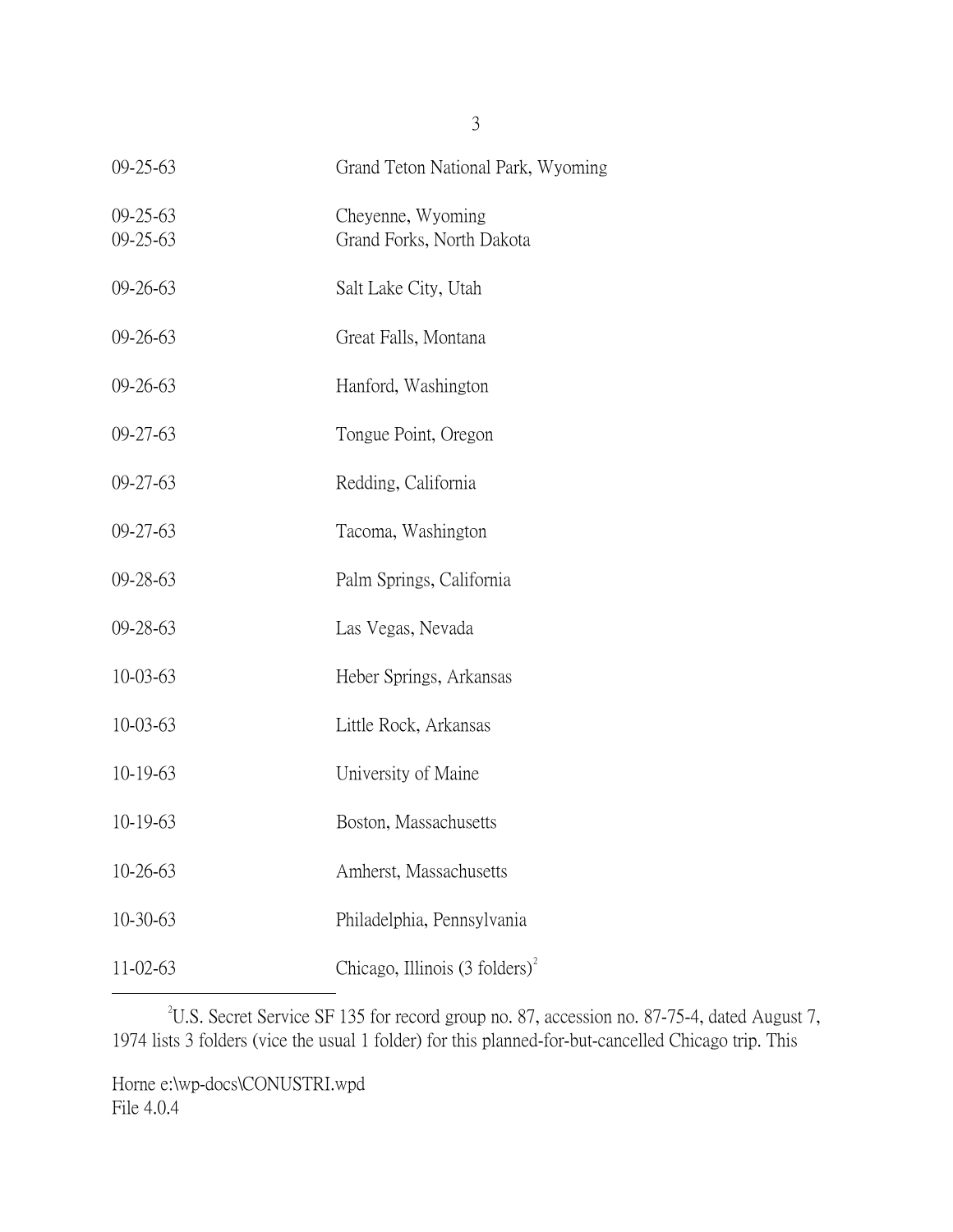| $09 - 25 - 63$                   | Grand Teton National Park, Wyoming             |
|----------------------------------|------------------------------------------------|
| $09 - 25 - 63$<br>$09 - 25 - 63$ | Cheyenne, Wyoming<br>Grand Forks, North Dakota |
| $09 - 26 - 63$                   | Salt Lake City, Utah                           |
| $09 - 26 - 63$                   | Great Falls, Montana                           |
| $09 - 26 - 63$                   | Hanford, Washington                            |
| $09 - 27 - 63$                   | Tongue Point, Oregon                           |
| $09 - 27 - 63$                   | Redding, California                            |
| $09 - 27 - 63$                   | Tacoma, Washington                             |
| $09 - 28 - 63$                   | Palm Springs, California                       |
| $09 - 28 - 63$                   | Las Vegas, Nevada                              |
| 10-03-63                         | Heber Springs, Arkansas                        |
| $10 - 03 - 63$                   | Little Rock, Arkansas                          |
| $10-19-63$                       | University of Maine                            |
| $10-19-63$                       | Boston, Massachusetts                          |
| 10-26-63                         | Amherst, Massachusetts                         |
| 10-30-63                         | Philadelphia, Pennsylvania                     |
| 11-02-63                         | Chicago, Illinois (3 folders) <sup>2</sup>     |

<span id="page-2-0"></span> $\overline{\phantom{a}}$   $\overline{\phantom{a}}$   $\overline{\phantom{a}}$   $\overline{\phantom{a}}$ U.S. Secret Service SF 135 for record group no. 87, accession no. 87-75-4, dated August 7, 1974 lists 3 folders (vice the usual 1 folder) for this planned-for-but-cancelled Chicago trip. This

Horne e:\wp-docs\CONUSTRI.wpd File 4.0.4

3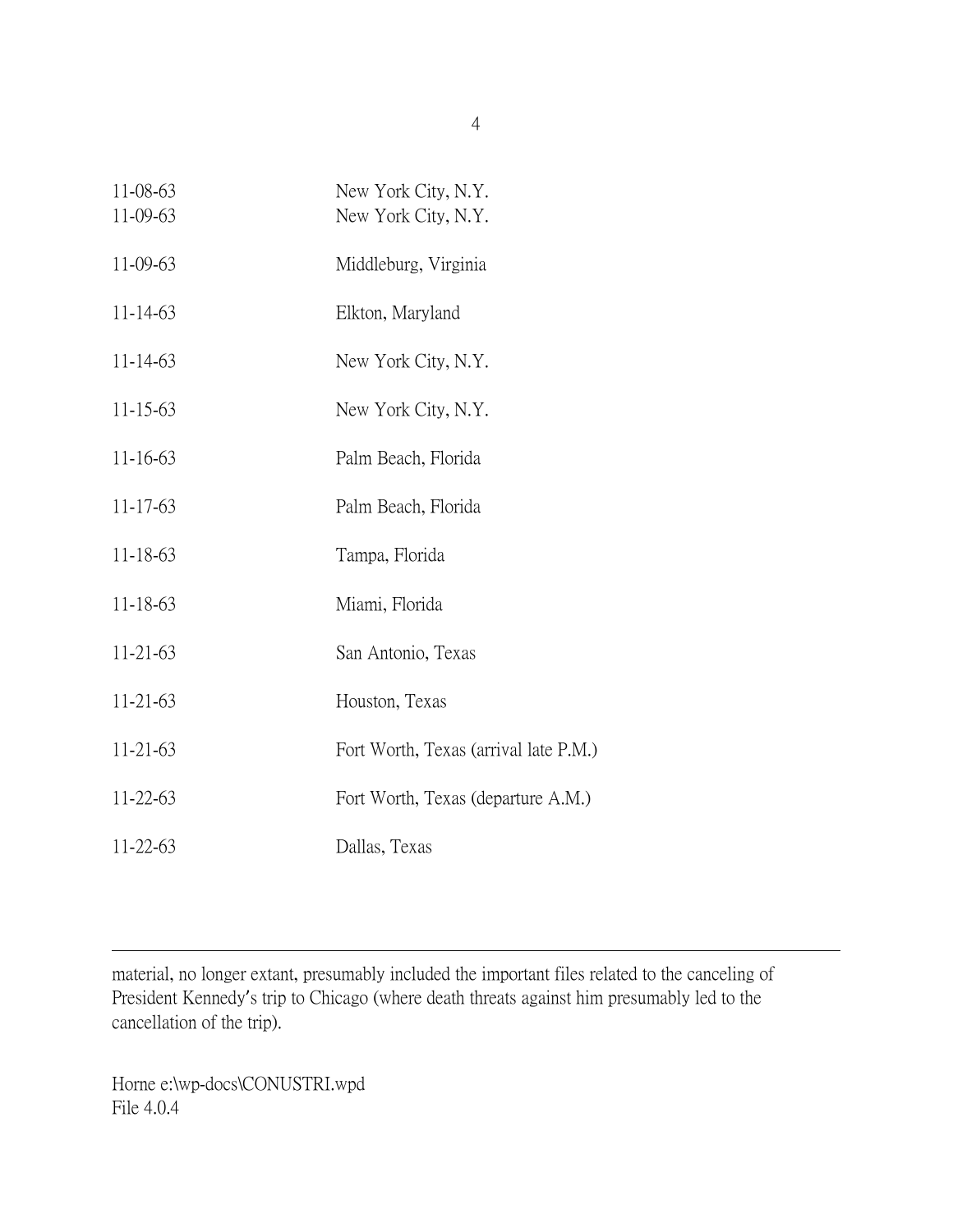| 11-08-63<br>11-09-63 | New York City, N.Y.<br>New York City, N.Y. |
|----------------------|--------------------------------------------|
| 11-09-63             | Middleburg, Virginia                       |
| $11 - 14 - 63$       | Elkton, Maryland                           |
| $11 - 14 - 63$       | New York City, N.Y.                        |
| 11-15-63             | New York City, N.Y.                        |
| $11 - 16 - 63$       | Palm Beach, Florida                        |
| $11 - 17 - 63$       | Palm Beach, Florida                        |
| $11 - 18 - 63$       | Tampa, Florida                             |
| $11 - 18 - 63$       | Miami, Florida                             |
| $11-21-63$           | San Antonio, Texas                         |
| 11-21-63             | Houston, Texas                             |
| 11-21-63             | Fort Worth, Texas (arrival late P.M.)      |
| 11-22-63             | Fort Worth, Texas (departure A.M.)         |
| $11 - 22 - 63$       | Dallas, Texas                              |

material, no longer extant, presumably included the important files related to the canceling of President Kennedy's trip to Chicago (where death threats against him presumably led to the cancellation of the trip).

Horne e:\wp-docs\CONUSTRI.wpd File 4.0.4

 $\overline{a}$